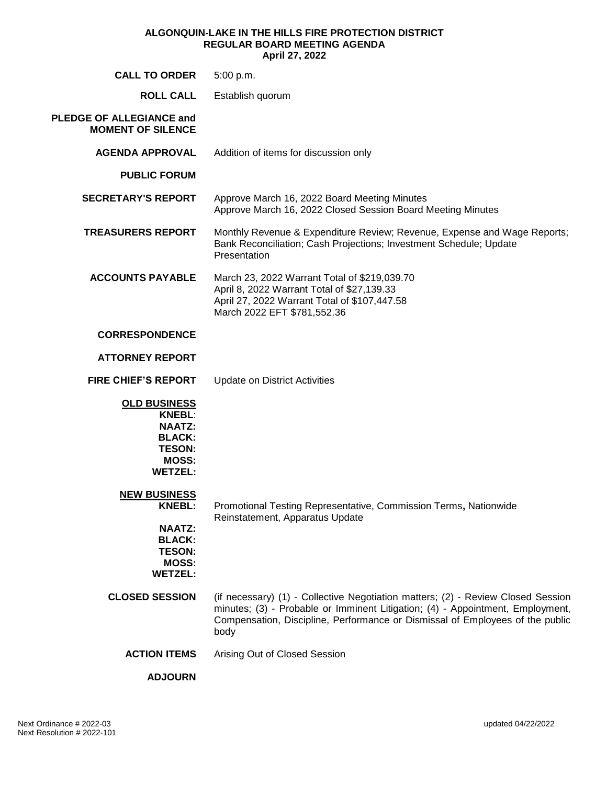#### **ALGONQUIN-LAKE IN THE HILLS FIRE PROTECTION DISTRICT REGULAR BOARD MEETING AGENDA April 27, 2022**

| <b>CALL TO ORDER</b>                                                                                                      | 5:00 p.m.                                                                                                                                                                                                                                                   |
|---------------------------------------------------------------------------------------------------------------------------|-------------------------------------------------------------------------------------------------------------------------------------------------------------------------------------------------------------------------------------------------------------|
| <b>ROLL CALL</b>                                                                                                          | Establish quorum                                                                                                                                                                                                                                            |
| <b>PLEDGE OF ALLEGIANCE and</b><br><b>MOMENT OF SILENCE</b>                                                               |                                                                                                                                                                                                                                                             |
| <b>AGENDA APPROVAL</b>                                                                                                    | Addition of items for discussion only                                                                                                                                                                                                                       |
| <b>PUBLIC FORUM</b>                                                                                                       |                                                                                                                                                                                                                                                             |
| <b>SECRETARY'S REPORT</b>                                                                                                 | Approve March 16, 2022 Board Meeting Minutes<br>Approve March 16, 2022 Closed Session Board Meeting Minutes                                                                                                                                                 |
| <b>TREASURERS REPORT</b>                                                                                                  | Monthly Revenue & Expenditure Review; Revenue, Expense and Wage Reports;<br>Bank Reconciliation; Cash Projections; Investment Schedule; Update<br>Presentation                                                                                              |
| <b>ACCOUNTS PAYABLE</b>                                                                                                   | March 23, 2022 Warrant Total of \$219,039.70<br>April 8, 2022 Warrant Total of \$27,139.33<br>April 27, 2022 Warrant Total of \$107,447.58<br>March 2022 EFT \$781,552.36                                                                                   |
| <b>CORRESPONDENCE</b>                                                                                                     |                                                                                                                                                                                                                                                             |
| <b>ATTORNEY REPORT</b>                                                                                                    |                                                                                                                                                                                                                                                             |
| <b>FIRE CHIEF'S REPORT</b>                                                                                                | <b>Update on District Activities</b>                                                                                                                                                                                                                        |
| <b>OLD BUSINESS</b><br><b>KNEBL:</b><br><b>NAATZ:</b><br><b>BLACK:</b><br><b>TESON:</b><br><b>MOSS:</b><br><b>WETZEL:</b> |                                                                                                                                                                                                                                                             |
| <b>NEW BUSINESS</b><br><b>KNEBL:</b>                                                                                      | Promotional Testing Representative, Commission Terms, Nationwide<br>Reinstatement, Apparatus Update                                                                                                                                                         |
| <b>NAATZ:</b><br><b>BLACK:</b><br><b>TESON:</b><br><b>MOSS:</b><br><b>WETZEL:</b>                                         |                                                                                                                                                                                                                                                             |
| <b>CLOSED SESSION</b>                                                                                                     | (if necessary) (1) - Collective Negotiation matters; (2) - Review Closed Session<br>minutes; (3) - Probable or Imminent Litigation; (4) - Appointment, Employment,<br>Compensation, Discipline, Performance or Dismissal of Employees of the public<br>body |
| <b>ACTION ITEMS</b>                                                                                                       | Arising Out of Closed Session                                                                                                                                                                                                                               |
| <b>ADJOURN</b>                                                                                                            |                                                                                                                                                                                                                                                             |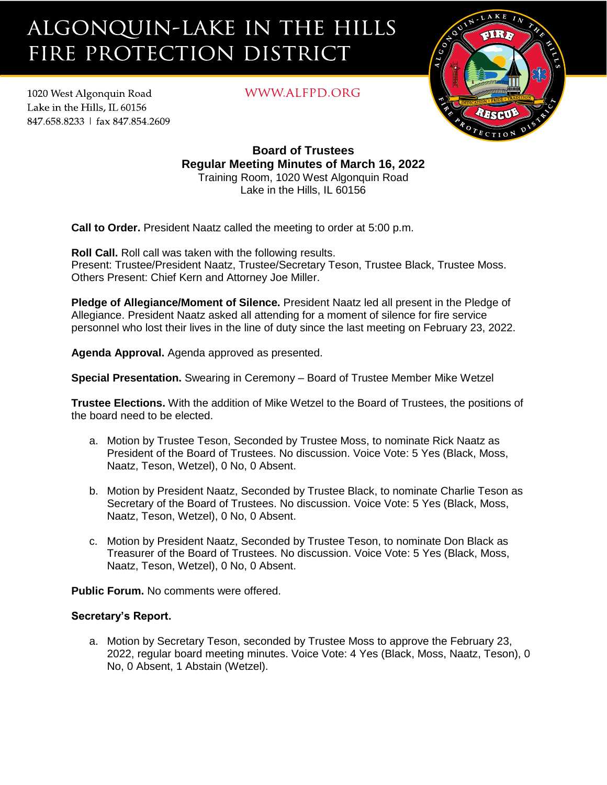# ALGONQUIN-LAKE IN THE HILLS FIRE PROTECTION DISTRICT

1020 West Algonquin Road Lake in the Hills. IL 60156 847.658.8233 | fax 847.854.2609 WWW.ALFPD.ORG



**Board of Trustees Regular Meeting Minutes of March 16, 2022** Training Room, 1020 West Algonquin Road Lake in the Hills, IL 60156

**Call to Order.** President Naatz called the meeting to order at 5:00 p.m.

**Roll Call.** Roll call was taken with the following results. Present: Trustee/President Naatz, Trustee/Secretary Teson, Trustee Black, Trustee Moss. Others Present: Chief Kern and Attorney Joe Miller.

**Pledge of Allegiance/Moment of Silence.** President Naatz led all present in the Pledge of Allegiance. President Naatz asked all attending for a moment of silence for fire service personnel who lost their lives in the line of duty since the last meeting on February 23, 2022.

**Agenda Approval.** Agenda approved as presented.

**Special Presentation.** Swearing in Ceremony – Board of Trustee Member Mike Wetzel

**Trustee Elections.** With the addition of Mike Wetzel to the Board of Trustees, the positions of the board need to be elected.

- a. Motion by Trustee Teson, Seconded by Trustee Moss, to nominate Rick Naatz as President of the Board of Trustees. No discussion. Voice Vote: 5 Yes (Black, Moss, Naatz, Teson, Wetzel), 0 No, 0 Absent.
- b. Motion by President Naatz, Seconded by Trustee Black, to nominate Charlie Teson as Secretary of the Board of Trustees. No discussion. Voice Vote: 5 Yes (Black, Moss, Naatz, Teson, Wetzel), 0 No, 0 Absent.
- c. Motion by President Naatz, Seconded by Trustee Teson, to nominate Don Black as Treasurer of the Board of Trustees. No discussion. Voice Vote: 5 Yes (Black, Moss, Naatz, Teson, Wetzel), 0 No, 0 Absent.

**Public Forum.** No comments were offered.

# **Secretary's Report.**

a. Motion by Secretary Teson, seconded by Trustee Moss to approve the February 23, 2022, regular board meeting minutes. Voice Vote: 4 Yes (Black, Moss, Naatz, Teson), 0 No, 0 Absent, 1 Abstain (Wetzel).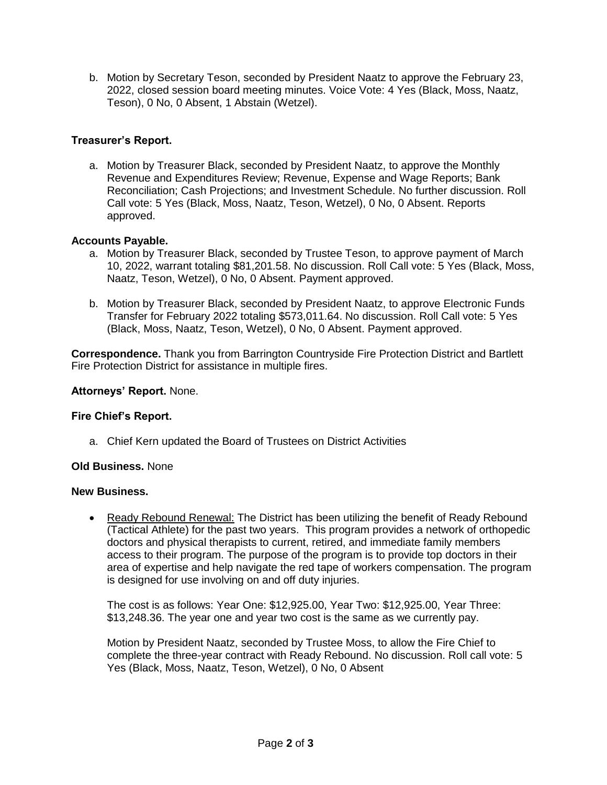b. Motion by Secretary Teson, seconded by President Naatz to approve the February 23, 2022, closed session board meeting minutes. Voice Vote: 4 Yes (Black, Moss, Naatz, Teson), 0 No, 0 Absent, 1 Abstain (Wetzel).

# **Treasurer's Report.**

a. Motion by Treasurer Black, seconded by President Naatz, to approve the Monthly Revenue and Expenditures Review; Revenue, Expense and Wage Reports; Bank Reconciliation; Cash Projections; and Investment Schedule. No further discussion. Roll Call vote: 5 Yes (Black, Moss, Naatz, Teson, Wetzel), 0 No, 0 Absent. Reports approved.

# **Accounts Payable.**

- a. Motion by Treasurer Black, seconded by Trustee Teson, to approve payment of March 10, 2022, warrant totaling \$81,201.58. No discussion. Roll Call vote: 5 Yes (Black, Moss, Naatz, Teson, Wetzel), 0 No, 0 Absent. Payment approved.
- b. Motion by Treasurer Black, seconded by President Naatz, to approve Electronic Funds Transfer for February 2022 totaling \$573,011.64. No discussion. Roll Call vote: 5 Yes (Black, Moss, Naatz, Teson, Wetzel), 0 No, 0 Absent. Payment approved.

**Correspondence.** Thank you from Barrington Countryside Fire Protection District and Bartlett Fire Protection District for assistance in multiple fires.

# **Attorneys' Report.** None.

# **Fire Chief's Report.**

a. Chief Kern updated the Board of Trustees on District Activities

# **Old Business.** None

# **New Business.**

• Ready Rebound Renewal: The District has been utilizing the benefit of Ready Rebound (Tactical Athlete) for the past two years. This program provides a network of orthopedic doctors and physical therapists to current, retired, and immediate family members access to their program. The purpose of the program is to provide top doctors in their area of expertise and help navigate the red tape of workers compensation. The program is designed for use involving on and off duty injuries.

The cost is as follows: Year One: \$12,925.00, Year Two: \$12,925.00, Year Three: \$13,248.36. The year one and year two cost is the same as we currently pay.

Motion by President Naatz, seconded by Trustee Moss, to allow the Fire Chief to complete the three-year contract with Ready Rebound. No discussion. Roll call vote: 5 Yes (Black, Moss, Naatz, Teson, Wetzel), 0 No, 0 Absent